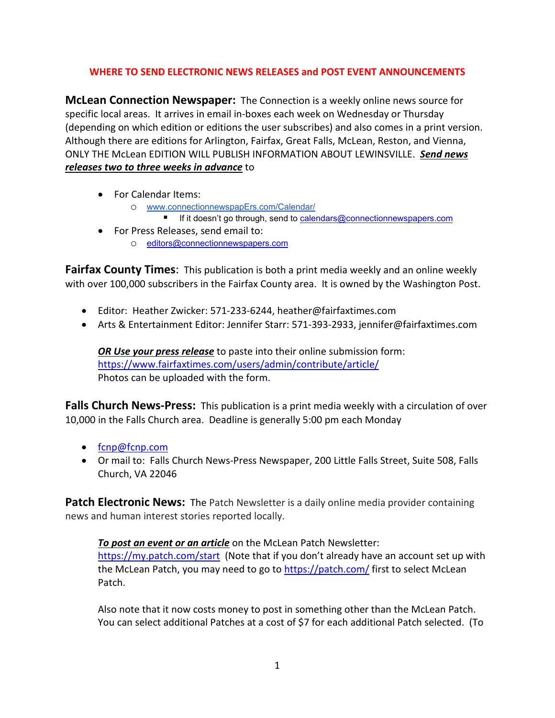#### **WHERE TO SEND ELECTRONIC NEWS RELEASES and POST EVENT ANNOUNCEMENTS**

**McLean Connection Newspaper:** The Connection is a weekly online news source for specific local areas. It arrives in email in-boxes each week on Wednesday or Thursday (depending on which edition or editions the user subscribes) and also comes in a print version. Although there are editions for Arlington, Fairfax, Great Falls, McLean, Reston, and Vienna, ONLY THE McLean EDITION WILL PUBLISH INFORMATION ABOUT LEWINSVILLE. *Send news releases two to three weeks in advance* to

- For Calendar Items:
	- o [www.connectionnewspapErs.com/Calendar/](http://www.connectionnewspapers.com/Calendar/)
		- If it doesn't go through, send to calendars@connectionnewspapers.com
- For Press Releases, send email to:
	- o [editors@connectionnewspapers.com](mailto:editors@connectionnewspapers.com)

**Fairfax County Times:** This publication is both a print media weekly and an online weekly with over 100,000 subscribers in the Fairfax County area. It is owned by the Washington Post.

- Editor: Heather Zwicker: 571-233-6244, heather@fairfaxtimes.com
- Arts & Entertainment Editor: Jennifer Starr: 571-393-2933, jennifer@fairfaxtimes.com

*OR Use your press release* to paste into their online submission form: <https://www.fairfaxtimes.com/users/admin/contribute/article/> Photos can be uploaded with the form.

**Falls Church News-Press:** This publication is a print media weekly with a circulation of over 10,000 in the Falls Church area. Deadline is generally 5:00 pm each Monday

- fcnp@fcnp.com
- Or mail to: Falls Church News-Press Newspaper, 200 Little Falls Street, Suite 508, Falls Church, VA 22046

**Patch Electronic News:** The Patch Newsletter is a daily online media provider containing news and human interest stories reported locally.

#### *To post an event or an article* on the McLean Patch Newsletter:

<https://my.patch.com/start>(Note that if you don't already have an account set up with the McLean Patch, you may need to go to<https://patch.com/> first to select McLean Patch.

Also note that it now costs money to post in something other than the McLean Patch. You can select additional Patches at a cost of \$7 for each additional Patch selected. (To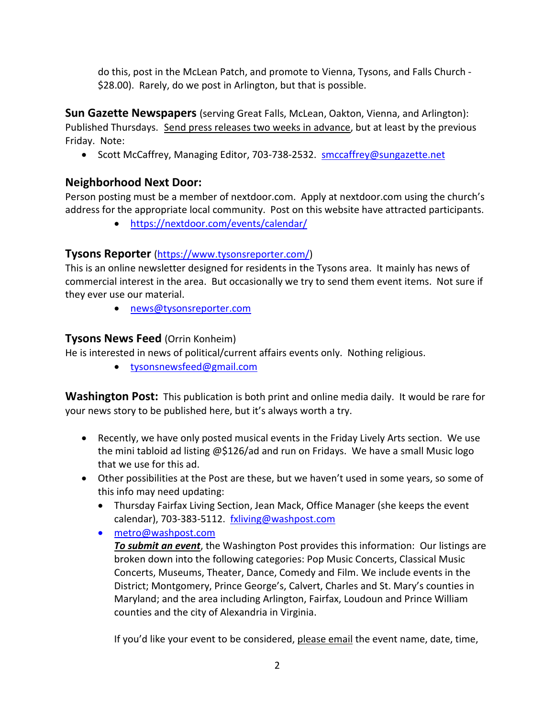do this, post in the McLean Patch, and promote to Vienna, Tysons, and Falls Church - \$28.00). Rarely, do we post in Arlington, but that is possible.

**Sun Gazette Newspapers** (serving Great Falls, McLean, Oakton, Vienna, and Arlington): Published Thursdays.Send press releases two weeks in advance, but at least by the previous Friday. Note:

• Scott McCaffrey, Managing Editor, 703-738-2532. [smccaffrey@sungazette.net](mailto:smccaffrey@sungazette.net)

# **Neighborhood Next Door:**

Person posting must be a member of nextdoor.com. Apply at nextdoor.com using the church's address for the appropriate local community. Post on this website have attracted participants.

• <https://nextdoor.com/events/calendar/>

## **Tysons Reporter** [\(https://www.tysonsreporter.com/\)](https://www.tysonsreporter.com/)

This is an online newsletter designed for residents in the Tysons area. It mainly has news of commercial interest in the area. But occasionally we try to send them event items. Not sure if they ever use our material.

• [news@tysonsreporter.com](mailto:news@tysonsreporter.com)

# **Tysons News Feed** (Orrin Konheim)

He is interested in news of political/current affairs events only. Nothing religious.

• [tysonsnewsfeed@gmail.com](mailto:tysonsnewsfeed@gmail.com)

**Washington Post:** This publication is both print and online media daily. It would be rare for your news story to be published here, but it's always worth a try.

- Recently, we have only posted musical events in the Friday Lively Arts section. We use the mini tabloid ad listing @\$126/ad and run on Fridays. We have a small Music logo that we use for this ad.
- Other possibilities at the Post are these, but we haven't used in some years, so some of this info may need updating:
	- Thursday Fairfax Living Section, Jean Mack, Office Manager (she keeps the event calendar), 703-383-5112. [fxliving@washpost.com](mailto:fxliving@washpost.com)
	- [metro@washpost.com](mailto:metro@washpost.com)

*To submit an event*, the Washington Post provides this information: Our listings are broken down into the following categories: Pop Music Concerts, Classical Music Concerts, Museums, Theater, Dance, Comedy and Film. We include events in the District; Montgomery, Prince George's, Calvert, Charles and St. Mary's counties in Maryland; and the area including Arlington, Fairfax, Loudoun and Prince William counties and the city of Alexandria in Virginia.

If you'd like your event to be considered, please email the event name, date, time,